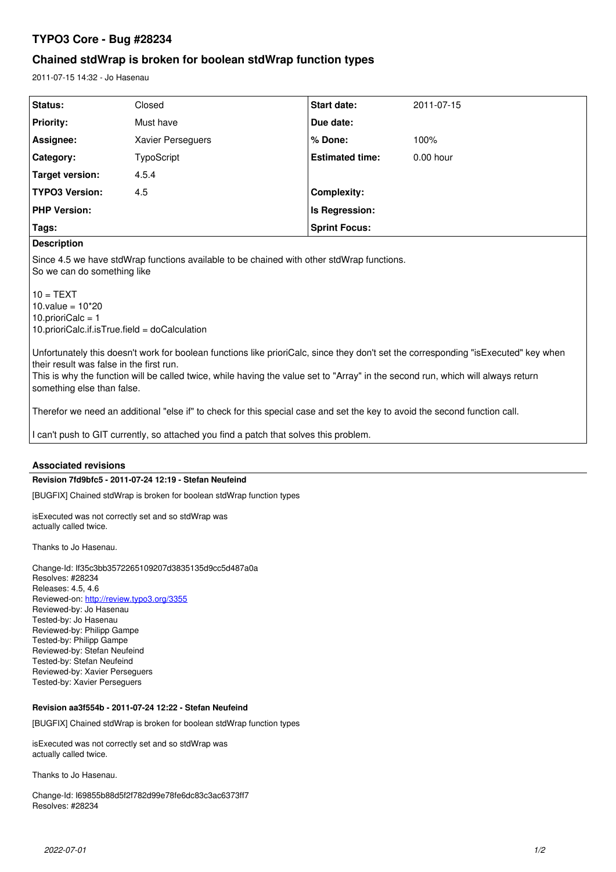# **TYPO3 Core - Bug #28234**

# **Chained stdWrap is broken for boolean stdWrap function types**

2011-07-15 14:32 - Jo Hasenau

| Status:                | Closed            | <b>Start date:</b>     | 2011-07-15  |
|------------------------|-------------------|------------------------|-------------|
| <b>Priority:</b>       | Must have         | Due date:              |             |
| Assignee:              | Xavier Perseguers | % Done:                | 100%        |
| <b>Category:</b>       | TypoScript        | <b>Estimated time:</b> | $0.00$ hour |
| <b>Target version:</b> | 4.5.4             |                        |             |
| <b>TYPO3 Version:</b>  | 4.5               | <b>Complexity:</b>     |             |
| <b>PHP Version:</b>    |                   | Is Regression:         |             |
| Tags:                  |                   | <b>Sprint Focus:</b>   |             |

## **Description**

Since 4.5 we have stdWrap functions available to be chained with other stdWrap functions. So we can do something like

 $10 = TEXT$ 10.value =  $10*20$ 10.prioriCalc = 1 10.prioriCalc.if.isTrue.field = doCalculation

Unfortunately this doesn't work for boolean functions like prioriCalc, since they don't set the corresponding "isExecuted" key when their result was false in the first run.

This is why the function will be called twice, while having the value set to "Array" in the second run, which will always return something else than false.

Therefor we need an additional "else if" to check for this special case and set the key to avoid the second function call.

I can't push to GIT currently, so attached you find a patch that solves this problem.

### **Associated revisions**

### **Revision 7fd9bfc5 - 2011-07-24 12:19 - Stefan Neufeind**

[BUGFIX] Chained stdWrap is broken for boolean stdWrap function types

isExecuted was not correctly set and so stdWrap was actually called twice.

Thanks to Jo Hasenau.

Change-Id: If35c3bb3572265109207d3835135d9cc5d487a0a Resolves: #28234 Releases: 4.5, 4.6 Reviewed-on:<http://review.typo3.org/3355> Reviewed-by: Jo Hasenau Tested-by: Jo Hasenau Reviewed-by: Philipp Gampe Tested-by: Philipp Gampe Reviewed-by: Stefan Neufeind Tested-by: Stefan Neufeind Reviewed-by: Xavier Perseguers Tested-by: Xavier Perseguers

# **Revision aa3f554b - 2011-07-24 12:22 - Stefan Neufeind**

[BUGFIX] Chained stdWrap is broken for boolean stdWrap function types

isExecuted was not correctly set and so stdWrap was actually called twice.

Thanks to Jo Hasenau.

Change-Id: I69855b88d5f2f782d99e78fe6dc83c3ac6373ff7 Resolves: #28234